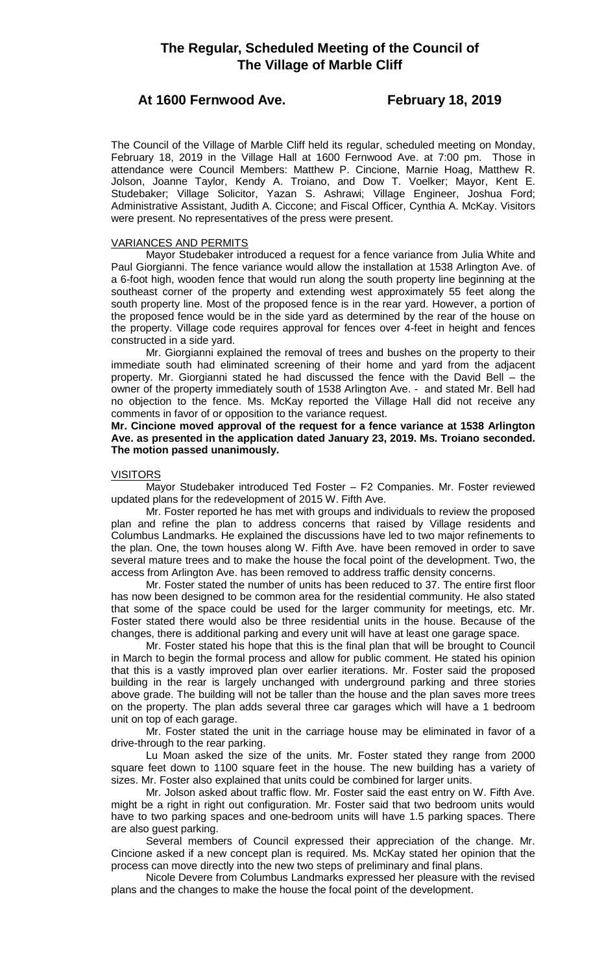# **The Regular, Scheduled Meeting of the Council of The Village of Marble Cliff**

# **At 1600 Fernwood Ave. February 18, 2019**

The Council of the Village of Marble Cliff held its regular, scheduled meeting on Monday, February 18, 2019 in the Village Hall at 1600 Fernwood Ave. at 7:00 pm. Those in attendance were Council Members: Matthew P. Cincione, Marnie Hoag, Matthew R. Jolson, Joanne Taylor, Kendy A. Troiano, and Dow T. Voelker; Mayor, Kent E. Studebaker; Village Solicitor, Yazan S. Ashrawi; Village Engineer, Joshua Ford; Administrative Assistant, Judith A. Ciccone; and Fiscal Officer, Cynthia A. McKay. Visitors were present. No representatives of the press were present.

# VARIANCES AND PERMITS

Mayor Studebaker introduced a request for a fence variance from Julia White and Paul Giorgianni. The fence variance would allow the installation at 1538 Arlington Ave. of a 6-foot high, wooden fence that would run along the south property line beginning at the southeast corner of the property and extending west approximately 55 feet along the south property line. Most of the proposed fence is in the rear yard. However, a portion of the proposed fence would be in the side yard as determined by the rear of the house on the property. Village code requires approval for fences over 4-feet in height and fences constructed in a side yard.

Mr. Giorgianni explained the removal of trees and bushes on the property to their immediate south had eliminated screening of their home and yard from the adjacent property. Mr. Giorgianni stated he had discussed the fence with the David Bell – the owner of the property immediately south of 1538 Arlington Ave. - and stated Mr. Bell had no objection to the fence. Ms. McKay reported the Village Hall did not receive any comments in favor of or opposition to the variance request.

**Mr. Cincione moved approval of the request for a fence variance at 1538 Arlington Ave. as presented in the application dated January 23, 2019. Ms. Troiano seconded. The motion passed unanimously.**

# **VISITORS**

Mayor Studebaker introduced Ted Foster – F2 Companies. Mr. Foster reviewed updated plans for the redevelopment of 2015 W. Fifth Ave.

Mr. Foster reported he has met with groups and individuals to review the proposed plan and refine the plan to address concerns that raised by Village residents and Columbus Landmarks. He explained the discussions have led to two major refinements to the plan. One, the town houses along W. Fifth Ave. have been removed in order to save several mature trees and to make the house the focal point of the development. Two, the access from Arlington Ave. has been removed to address traffic density concerns.

Mr. Foster stated the number of units has been reduced to 37. The entire first floor has now been designed to be common area for the residential community. He also stated that some of the space could be used for the larger community for meetings, etc. Mr. Foster stated there would also be three residential units in the house. Because of the changes, there is additional parking and every unit will have at least one garage space.

Mr. Foster stated his hope that this is the final plan that will be brought to Council in March to begin the formal process and allow for public comment. He stated his opinion that this is a vastly improved plan over earlier iterations. Mr. Foster said the proposed building in the rear is largely unchanged with underground parking and three stories above grade. The building will not be taller than the house and the plan saves more trees on the property. The plan adds several three car garages which will have a 1 bedroom unit on top of each garage.

Mr. Foster stated the unit in the carriage house may be eliminated in favor of a drive-through to the rear parking.

Lu Moan asked the size of the units. Mr. Foster stated they range from 2000 square feet down to 1100 square feet in the house. The new building has a variety of sizes. Mr. Foster also explained that units could be combined for larger units.

Mr. Jolson asked about traffic flow. Mr. Foster said the east entry on W. Fifth Ave. might be a right in right out configuration. Mr. Foster said that two bedroom units would have to two parking spaces and one-bedroom units will have 1.5 parking spaces. There are also guest parking.

Several members of Council expressed their appreciation of the change. Mr. Cincione asked if a new concept plan is required. Ms. McKay stated her opinion that the process can move directly into the new two steps of preliminary and final plans.

Nicole Devere from Columbus Landmarks expressed her pleasure with the revised plans and the changes to make the house the focal point of the development.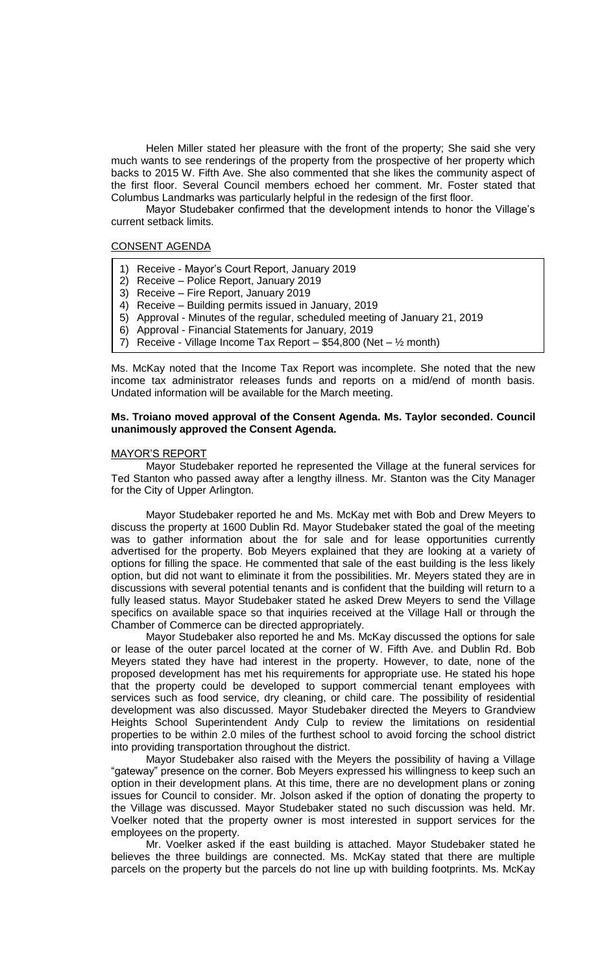Helen Miller stated her pleasure with the front of the property; She said she very much wants to see renderings of the property from the prospective of her property which backs to 2015 W. Fifth Ave. She also commented that she likes the community aspect of the first floor. Several Council members echoed her comment. Mr. Foster stated that Columbus Landmarks was particularly helpful in the redesign of the first floor.

Mayor Studebaker confirmed that the development intends to honor the Village's current setback limits.

# CONSENT AGENDA

- 1) Receive Mayor's Court Report, January 2019
- 2) Receive Police Report, January 2019
- 3) Receive Fire Report, January 2019
- 4) Receive Building permits issued in January, 2019
- 5) Approval Minutes of the regular, scheduled meeting of January 21, 2019
- 6) Approval Financial Statements for January, 2019
- 7) Receive Village Income Tax Report \$54,800 (Net  $\frac{1}{2}$  month)

Ms. McKay noted that the Income Tax Report was incomplete. She noted that the new income tax administrator releases funds and reports on a mid/end of month basis. Undated information will be available for the March meeting.

### **Ms. Troiano moved approval of the Consent Agenda. Ms. Taylor seconded. Council unanimously approved the Consent Agenda.**

#### MAYOR'S REPORT

Mayor Studebaker reported he represented the Village at the funeral services for Ted Stanton who passed away after a lengthy illness. Mr. Stanton was the City Manager for the City of Upper Arlington.

Mayor Studebaker reported he and Ms. McKay met with Bob and Drew Meyers to discuss the property at 1600 Dublin Rd. Mayor Studebaker stated the goal of the meeting was to gather information about the for sale and for lease opportunities currently advertised for the property. Bob Meyers explained that they are looking at a variety of options for filling the space. He commented that sale of the east building is the less likely option, but did not want to eliminate it from the possibilities. Mr. Meyers stated they are in discussions with several potential tenants and is confident that the building will return to a fully leased status. Mayor Studebaker stated he asked Drew Meyers to send the Village specifics on available space so that inquiries received at the Village Hall or through the Chamber of Commerce can be directed appropriately.

Mayor Studebaker also reported he and Ms. McKay discussed the options for sale or lease of the outer parcel located at the corner of W. Fifth Ave. and Dublin Rd. Bob Meyers stated they have had interest in the property. However, to date, none of the proposed development has met his requirements for appropriate use. He stated his hope that the property could be developed to support commercial tenant employees with services such as food service, dry cleaning, or child care. The possibility of residential development was also discussed. Mayor Studebaker directed the Meyers to Grandview Heights School Superintendent Andy Culp to review the limitations on residential properties to be within 2.0 miles of the furthest school to avoid forcing the school district into providing transportation throughout the district.

Mayor Studebaker also raised with the Meyers the possibility of having a Village "gateway" presence on the corner. Bob Meyers expressed his willingness to keep such an option in their development plans. At this time, there are no development plans or zoning issues for Council to consider. Mr. Jolson asked if the option of donating the property to the Village was discussed. Mayor Studebaker stated no such discussion was held. Mr. Voelker noted that the property owner is most interested in support services for the employees on the property.

Mr. Voelker asked if the east building is attached. Mayor Studebaker stated he believes the three buildings are connected. Ms. McKay stated that there are multiple parcels on the property but the parcels do not line up with building footprints. Ms. McKay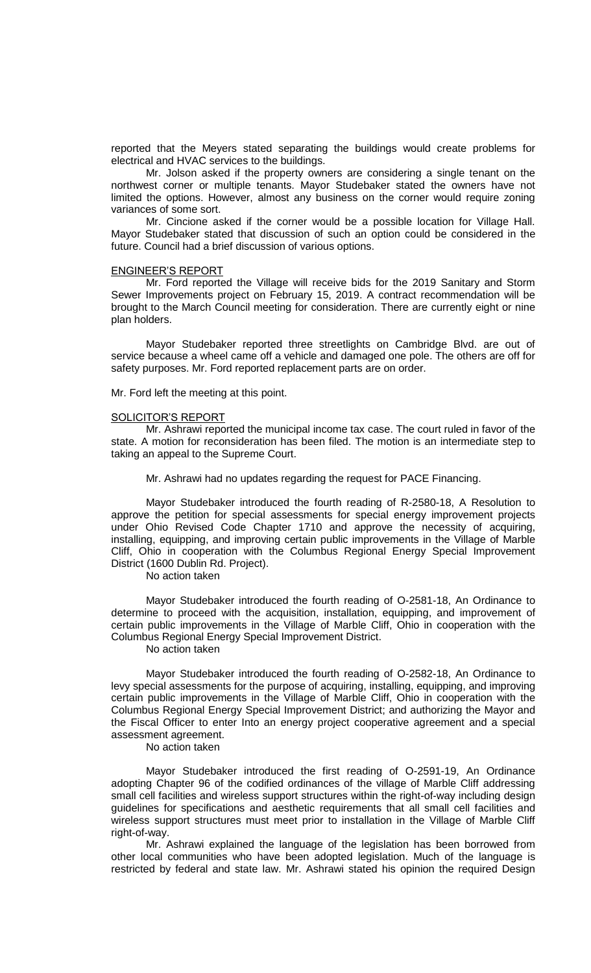reported that the Meyers stated separating the buildings would create problems for electrical and HVAC services to the buildings.

Mr. Jolson asked if the property owners are considering a single tenant on the northwest corner or multiple tenants. Mayor Studebaker stated the owners have not limited the options. However, almost any business on the corner would require zoning variances of some sort.

Mr. Cincione asked if the corner would be a possible location for Village Hall. Mayor Studebaker stated that discussion of such an option could be considered in the future. Council had a brief discussion of various options.

# ENGINEER'S REPORT

Mr. Ford reported the Village will receive bids for the 2019 Sanitary and Storm Sewer Improvements project on February 15, 2019. A contract recommendation will be brought to the March Council meeting for consideration. There are currently eight or nine plan holders.

Mayor Studebaker reported three streetlights on Cambridge Blvd. are out of service because a wheel came off a vehicle and damaged one pole. The others are off for safety purposes. Mr. Ford reported replacement parts are on order.

Mr. Ford left the meeting at this point.

#### SOLICITOR'S REPORT

Mr. Ashrawi reported the municipal income tax case. The court ruled in favor of the state. A motion for reconsideration has been filed. The motion is an intermediate step to taking an appeal to the Supreme Court.

Mr. Ashrawi had no updates regarding the request for PACE Financing.

Mayor Studebaker introduced the fourth reading of R-2580-18, A Resolution to approve the petition for special assessments for special energy improvement projects under Ohio Revised Code Chapter 1710 and approve the necessity of acquiring, installing, equipping, and improving certain public improvements in the Village of Marble Cliff, Ohio in cooperation with the Columbus Regional Energy Special Improvement District (1600 Dublin Rd. Project).

No action taken

Mayor Studebaker introduced the fourth reading of O-2581-18, An Ordinance to determine to proceed with the acquisition, installation, equipping, and improvement of certain public improvements in the Village of Marble Cliff, Ohio in cooperation with the Columbus Regional Energy Special Improvement District.

No action taken

Mayor Studebaker introduced the fourth reading of O-2582-18, An Ordinance to levy special assessments for the purpose of acquiring, installing, equipping, and improving certain public improvements in the Village of Marble Cliff, Ohio in cooperation with the Columbus Regional Energy Special Improvement District; and authorizing the Mayor and the Fiscal Officer to enter Into an energy project cooperative agreement and a special assessment agreement.

No action taken

Mayor Studebaker introduced the first reading of O-2591-19, An Ordinance adopting Chapter 96 of the codified ordinances of the village of Marble Cliff addressing small cell facilities and wireless support structures within the right-of-way including design guidelines for specifications and aesthetic requirements that all small cell facilities and wireless support structures must meet prior to installation in the Village of Marble Cliff right-of-way.

Mr. Ashrawi explained the language of the legislation has been borrowed from other local communities who have been adopted legislation. Much of the language is restricted by federal and state law. Mr. Ashrawi stated his opinion the required Design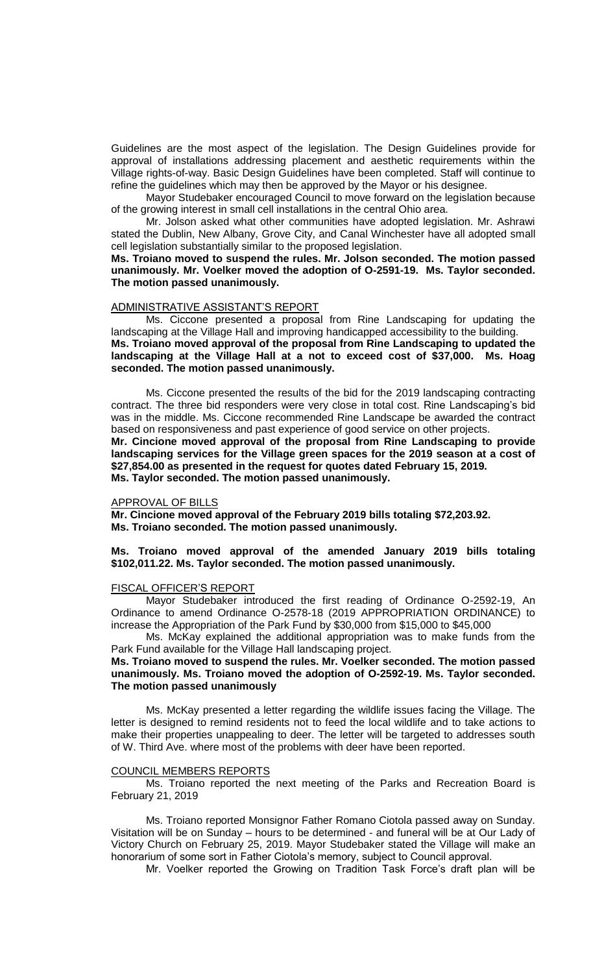Guidelines are the most aspect of the legislation. The Design Guidelines provide for approval of installations addressing placement and aesthetic requirements within the Village rights-of-way. Basic Design Guidelines have been completed. Staff will continue to refine the guidelines which may then be approved by the Mayor or his designee.

Mayor Studebaker encouraged Council to move forward on the legislation because of the growing interest in small cell installations in the central Ohio area.

Mr. Jolson asked what other communities have adopted legislation. Mr. Ashrawi stated the Dublin, New Albany, Grove City, and Canal Winchester have all adopted small cell legislation substantially similar to the proposed legislation.

**Ms. Troiano moved to suspend the rules. Mr. Jolson seconded. The motion passed unanimously. Mr. Voelker moved the adoption of O-2591-19. Ms. Taylor seconded. The motion passed unanimously.** 

#### ADMINISTRATIVE ASSISTANT'S REPORT

Ms. Ciccone presented a proposal from Rine Landscaping for updating the landscaping at the Village Hall and improving handicapped accessibility to the building. **Ms. Troiano moved approval of the proposal from Rine Landscaping to updated the landscaping at the Village Hall at a not to exceed cost of \$37,000. Ms. Hoag seconded. The motion passed unanimously.**

Ms. Ciccone presented the results of the bid for the 2019 landscaping contracting contract. The three bid responders were very close in total cost. Rine Landscaping's bid was in the middle. Ms. Ciccone recommended Rine Landscape be awarded the contract based on responsiveness and past experience of good service on other projects. **Mr. Cincione moved approval of the proposal from Rine Landscaping to provide landscaping services for the Village green spaces for the 2019 season at a cost of \$27,854.00 as presented in the request for quotes dated February 15, 2019. Ms. Taylor seconded. The motion passed unanimously.**

#### APPROVAL OF BILLS

**Mr. Cincione moved approval of the February 2019 bills totaling \$72,203.92. Ms. Troiano seconded. The motion passed unanimously.**

# **Ms. Troiano moved approval of the amended January 2019 bills totaling \$102,011.22. Ms. Taylor seconded. The motion passed unanimously.**

#### FISCAL OFFICER'S REPORT

Mayor Studebaker introduced the first reading of Ordinance O-2592-19, An Ordinance to amend Ordinance O-2578-18 (2019 APPROPRIATION ORDINANCE) to increase the Appropriation of the Park Fund by \$30,000 from \$15,000 to \$45,000

Ms. McKay explained the additional appropriation was to make funds from the Park Fund available for the Village Hall landscaping project.

## **Ms. Troiano moved to suspend the rules. Mr. Voelker seconded. The motion passed unanimously. Ms. Troiano moved the adoption of O-2592-19. Ms. Taylor seconded. The motion passed unanimously**

Ms. McKay presented a letter regarding the wildlife issues facing the Village. The letter is designed to remind residents not to feed the local wildlife and to take actions to make their properties unappealing to deer. The letter will be targeted to addresses south of W. Third Ave. where most of the problems with deer have been reported.

#### COUNCIL MEMBERS REPORTS

Ms. Troiano reported the next meeting of the Parks and Recreation Board is February 21, 2019

Ms. Troiano reported Monsignor Father Romano Ciotola passed away on Sunday. Visitation will be on Sunday – hours to be determined - and funeral will be at Our Lady of Victory Church on February 25, 2019. Mayor Studebaker stated the Village will make an honorarium of some sort in Father Ciotola's memory, subject to Council approval.

Mr. Voelker reported the Growing on Tradition Task Force's draft plan will be